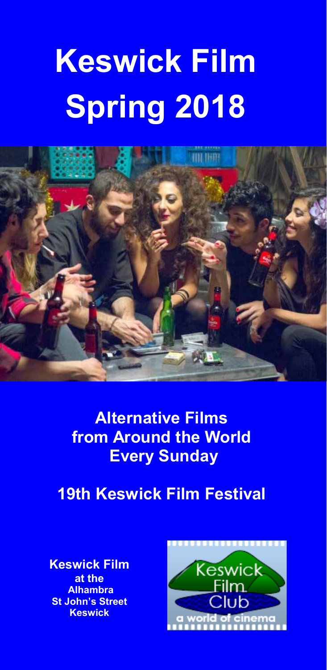# **Keswick Film Spring 2018**



**Alternative Films from Around the World Every Sunday** 

**19th Keswick Film Festival** 

**Keswick Film at the Alhambra St John's Street Keswick** 

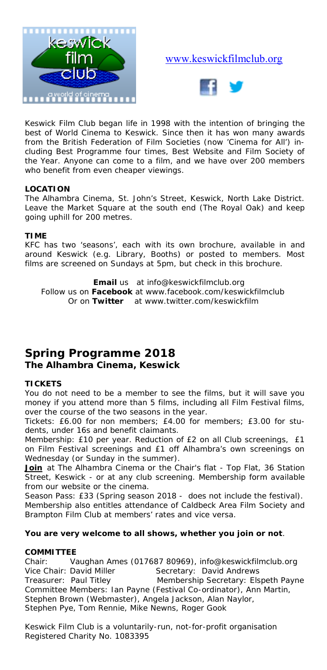

#### www.keswickfilmclub.org



Keswick Film Club began life in 1998 with the intention of bringing the best of World Cinema to Keswick. Since then it has won many awards from the British Federation of Film Societies (now 'Cinema for All') including Best Programme four times, Best Website and Film Society of the Year. Anyone can come to a film, and we have over 200 members who benefit from even cheaper viewings.

#### **LOCATION**

The Alhambra Cinema, St. John's Street, Keswick, North Lake District. Leave the Market Square at the south end (The Royal Oak) and keep going uphill for 200 metres.

#### **TIME**

KFC has two 'seasons', each with its own brochure, available in and around Keswick (e.g. Library, Booths) or posted to members. Most films are screened on Sundays at 5pm, but check in this brochure.

**Email** us at info@keswickfilmclub.org Follow us on **Facebook** at www.facebook.com/keswickfilmclub Or on **Twitter** at www.twitter.com/keswickfilm

#### **Spring Programme 2018 The Alhambra Cinema, Keswick**

#### **TICKETS**

You do not need to be a member to see the films, but it will save you money if you attend more than 5 films, including all Film Festival films, over the course of the two seasons in the year.

*Tickets:* £6.00 for non members; £4.00 for members; £3.00 for students, under 16s and benefit claimants.

*Membership:* £10 per year. Reduction of £2 on all Club screenings, £1 on Film Festival screenings and £1 off Alhambra's own screenings on Wednesday (or Sunday in the summer).

**Join** at The Alhambra Cinema or the Chair's flat - Top Flat, 36 Station Street, Keswick - or at any club screening. Membership form available from our website or the cinema.

*Season Pass:* £33 (Spring season 2018 - does not include the festival). Membership also entitles attendance of Caldbeck Area Film Society and Brampton Film Club at members' rates and vice versa.

#### **You are very welcome to all shows, whether you join or not**.

#### **COMMITTEE**

Chair: Vaughan Ames (017687 80969), info@keswickfilmclub.org<br>Vice Chair: David Miller Secretary: David Andrews Vice Chair: David Miller Secretary: David Andrews<br>Treasurer: Paul Titley Membership Secretary: Els Membership Secretary: Elspeth Payne Committee Members: Ian Payne (Festival Co-ordinator), Ann Martin, Stephen Brown (Webmaster), Angela Jackson, Alan Naylor, Stephen Pye, Tom Rennie, Mike Newns, Roger Gook

*Keswick Film Club is a voluntarily-run, not-for-profit organisation Registered Charity No. 1083395*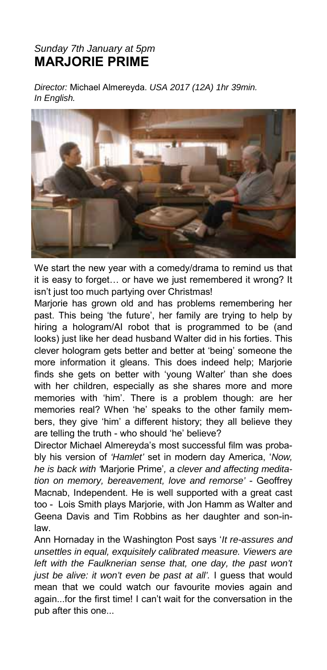#### *Sunday 7th January at 5pm*  **MARJORIE PRIME**

*Director:* Michael Almereyda. *USA 2017 (12A) 1hr 39min. In English.* 



We start the new year with a comedy/drama to remind us that it is easy to forget… or have we just remembered it wrong? It isn't just too much partying over Christmas!

Marjorie has grown old and has problems remembering her past. This being 'the future', her family are trying to help by hiring a hologram/AI robot that is programmed to be (and looks) just like her dead husband Walter did in his forties. This clever hologram gets better and better at 'being' someone the more information it gleans. This does indeed help; Marjorie finds she gets on better with 'young Walter' than she does with her children, especially as she shares more and more memories with 'him'. There is a problem though: are her memories real? When 'he' speaks to the other family members, they give 'him' a different history; they all believe they are telling the truth - who should 'he' believe?

Director Michael Almereyda's most successful film was probably his version of *'Hamlet'* set in modern day America, '*Now, he is back with '*Marjorie Prime'*, a clever and affecting meditation on memory, bereavement, love and remorse'* - Geoffrey Macnab, Independent. He is well supported with a great cast too - Lois Smith plays Marjorie, with Jon Hamm as Walter and Geena Davis and Tim Robbins as her daughter and son-inlaw.

Ann Hornaday in the Washington Post says '*It re-assures and unsettles in equal, exquisitely calibrated measure. Viewers are*  left with the Faulknerian sense that, one day, the past won't *just be alive: it won't even be past at all'.* I guess that would mean that we could watch our favourite movies again and again...for the first time! I can't wait for the conversation in the pub after this one...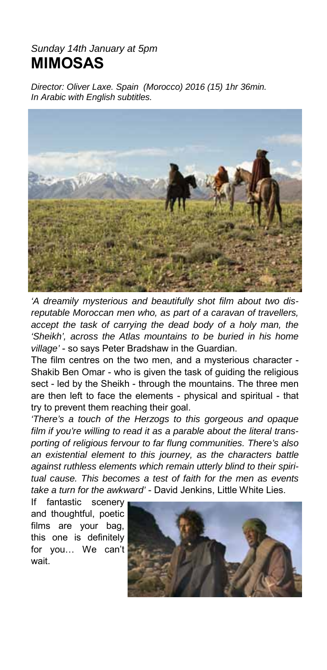### *Sunday 14th January at 5pm*  **MIMOSAS**

*Director: Oliver Laxe. Spain (Morocco) 2016 (15) 1hr 36min. In Arabic with English subtitles.* 



*'A dreamily mysterious and beautifully shot film about two disreputable Moroccan men who, as part of a caravan of travellers, accept the task of carrying the dead body of a holy man, the 'Sheikh', across the Atlas mountains to be buried in his home village'* - so says Peter Bradshaw in the Guardian.

The film centres on the two men, and a mysterious character - Shakib Ben Omar - who is given the task of guiding the religious sect - led by the Sheikh - through the mountains. The three men are then left to face the elements - physical and spiritual - that try to prevent them reaching their goal.

*'There's a touch of the Herzogs to this gorgeous and opaque film if you're willing to read it as a parable about the literal transporting of religious fervour to far flung communities. There's also an existential element to this journey, as the characters battle against ruthless elements which remain utterly blind to their spiritual cause. This becomes a test of faith for the men as events take a turn for the awkward'* - David Jenkins, Little White Lies.

If fantastic scenery and thoughtful, poetic films are your bag, this one is definitely for you… We can't wait.

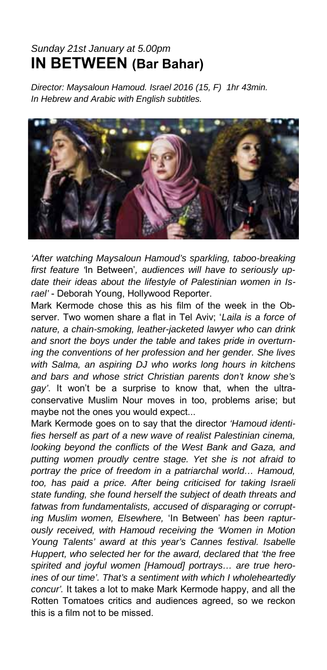### *Sunday 21st January at 5.00pm*  **IN BETWEEN (Bar Bahar)**

*Director: Maysaloun Hamoud. Israel 2016 (15, F) 1hr 43min. In Hebrew and Arabic with English subtitles.* 



*'After watching Maysaloun Hamoud's sparkling, taboo-breaking first feature '*In Between'*, audiences will have to seriously update their ideas about the lifestyle of Palestinian women in Israel'* - Deborah Young, Hollywood Reporter.

Mark Kermode chose this as his film of the week in the Observer. Two women share a flat in Tel Aviv; '*Laila is a force of nature, a chain-smoking, leather-jacketed lawyer who can drink and snort the boys under the table and takes pride in overturning the conventions of her profession and her gender. She lives with Salma, an aspiring DJ who works long hours in kitchens and bars and whose strict Christian parents don't know she's gay'*. It won't be a surprise to know that, when the ultraconservative Muslim Nour moves in too, problems arise; but maybe not the ones you would expect...

Mark Kermode goes on to say that the director *'Hamoud identifies herself as part of a new wave of realist Palestinian cinema, looking beyond the conflicts of the West Bank and Gaza, and putting women proudly centre stage. Yet she is not afraid to portray the price of freedom in a patriarchal world… Hamoud, too, has paid a price. After being criticised for taking Israeli state funding, she found herself the subject of death threats and fatwas from fundamentalists, accused of disparaging or corrupting Muslim women, Elsewhere,* 'In Between' *has been rapturously received, with Hamoud receiving the 'Women in Motion Young Talents' award at this year's Cannes festival. Isabelle Huppert, who selected her for the award, declared that 'the free spirited and joyful women [Hamoud] portrays… are true heroines of our time'. That's a sentiment with which I wholeheartedly concur'.* It takes a lot to make Mark Kermode happy, and all the Rotten Tomatoes critics and audiences agreed, so we reckon this is a film not to be missed.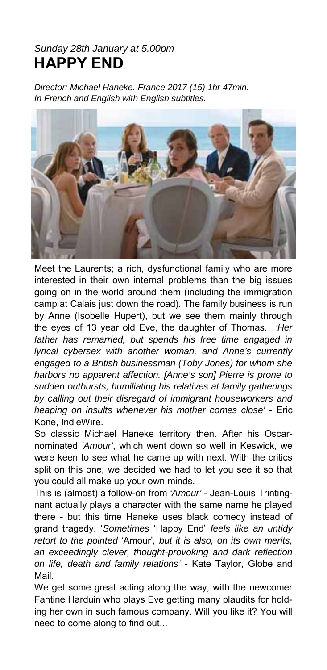### *Sunday 28th January at 5.00pm*  **HAPPY END**

*Director: Michael Haneke. France 2017 (15) 1hr 47min. In French and English with English subtitles.* 



Meet the Laurents; a rich, dysfunctional family who are more interested in their own internal problems than the big issues going on in the world around them (including the immigration camp at Calais just down the road). The family business is run by Anne (Isobelle Hupert), but we see them mainly through the eyes of 13 year old Eve, the daughter of Thomas. *'Her father has remarried, but spends his free time engaged in lyrical cybersex with another woman, and Anne's currently engaged to a British businessman (Toby Jones) for whom she harbors no apparent affection. [Anne's son] Pierre is prone to sudden outbursts, humiliating his relatives at family gatherings by calling out their disregard of immigrant houseworkers and heaping on insults whenever his mother comes close'* - Eric Kone, IndieWire.

So classic Michael Haneke territory then. After his Oscarnominated *'Amour'*, which went down so well in Keswick, we were keen to see what he came up with next. With the critics split on this one, we decided we had to let you see it so that you could all make up your own minds.

This is (almost) a follow-on from *'Amour'* - Jean-Louis Trintingnant actually plays a character with the same name he played there - but this time Haneke uses black comedy instead of grand tragedy. '*Sometimes* 'Happy End' *feels like an untidy retort to the pointed* 'Amour'*, but it is also, on its own merits, an exceedingly clever, thought-provoking and dark reflection on life, death and family relations'* - Kate Taylor, Globe and Mail.

We get some great acting along the way, with the newcomer Fantine Harduin who plays Eve getting many plaudits for holding her own in such famous company. Will you like it? You will need to come along to find out...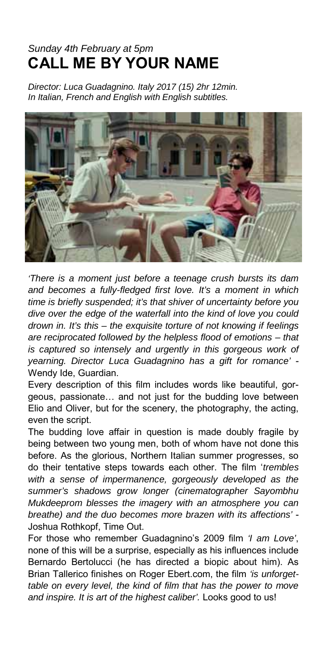### *Sunday 4th February at 5pm*  **CALL ME BY YOUR NAME**

*Director: Luca Guadagnino. Italy 2017 (15) 2hr 12min. In Italian, French and English with English subtitles.* 



*'There is a moment just before a teenage crush bursts its dam and becomes a fully-fledged first love. It's a moment in which time is briefly suspended; it's that shiver of uncertainty before you dive over the edge of the waterfall into the kind of love you could drown in. It's this – the exquisite torture of not knowing if feelings are reciprocated followed by the helpless flood of emotions – that*  is captured so intensely and urgently in this gorgeous work of *yearning. Director Luca Guadagnino has a gift for romance'* - Wendy Ide, Guardian.

Every description of this film includes words like beautiful, gorgeous, passionate… and not just for the budding love between Elio and Oliver, but for the scenery, the photography, the acting, even the script.

The budding love affair in question is made doubly fragile by being between two young men, both of whom have not done this before. As the glorious, Northern Italian summer progresses, so do their tentative steps towards each other. The film '*trembles with a sense of impermanence, gorgeously developed as the summer's shadows grow longer (cinematographer Sayombhu Mukdeeprom blesses the imagery with an atmosphere you can breathe) and the duo becomes more brazen with its affections'* - Joshua Rothkopf, Time Out.

For those who remember Guadagnino's 2009 film *'I am Love'*, none of this will be a surprise, especially as his influences include Bernardo Bertolucci (he has directed a biopic about him). As Brian Tallerico finishes on Roger Ebert.com, the film *'is unforgettable on every level, the kind of film that has the power to move and inspire. It is art of the highest caliber'.* Looks good to us!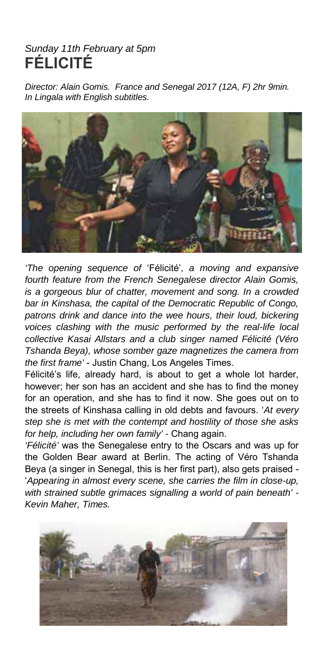### *Sunday 11th February at 5pm*  **FÉLICITÉ**

*Director: Alain Gomis. France and Senegal 2017 (12A, F) 2hr 9min. In Lingala with English subtitles.* 



*'The opening sequence of* 'Félicité', *a moving and expansive fourth feature from the French Senegalese director Alain Gomis, is a gorgeous blur of chatter, movement and song. In a crowded bar in Kinshasa, the capital of the Democratic Republic of Congo, patrons drink and dance into the wee hours, their loud, bickering voices clashing with the music performed by the real-life local collective Kasai Allstars and a club singer named Félicité (Véro Tshanda Beya), whose somber gaze magnetizes the camera from the first frame'* - Justin Chang, Los Angeles Times.

Félicité's life, already hard, is about to get a whole lot harder, however; her son has an accident and she has to find the money for an operation, and she has to find it now. She goes out on to the streets of Kinshasa calling in old debts and favours. '*At every step she is met with the contempt and hostility of those she asks for help, including her own family' -* Chang again.

*'Félicité'* was the Senegalese entry to the Oscars and was up for the Golden Bear award at Berlin. The acting of Véro Tshanda Beya (a singer in Senegal, this is her first part), also gets praised - '*Appearing in almost every scene, she carries the film in close-up, with strained subtle grimaces signalling a world of pain beneath' - Kevin Maher, Times.* 

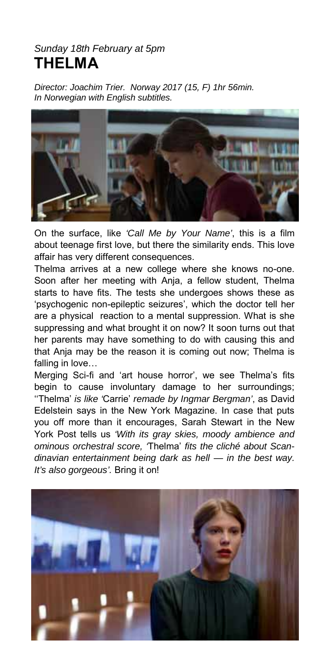#### *Sunday 18th February at 5pm*  **THELMA**

*Director: Joachim Trier. Norway 2017 (15, F) 1hr 56min. In Norwegian with English subtitles.* 



On the surface, like *'Call Me by Your Name'*, this is a film about teenage first love, but there the similarity ends. This love affair has very different consequences.

Thelma arrives at a new college where she knows no-one. Soon after her meeting with Anja, a fellow student, Thelma starts to have fits. The tests she undergoes shows these as 'psychogenic non-epileptic seizures', which the doctor tell her are a physical reaction to a mental suppression. What is she suppressing and what brought it on now? It soon turns out that her parents may have something to do with causing this and that Anja may be the reason it is coming out now; Thelma is falling in love…

Merging Sci-fi and 'art house horror', we see Thelma's fits begin to cause involuntary damage to her surroundings; ''Thelma' *is like '*Carrie' *remade by Ingmar Bergman'*, as David Edelstein says in the New York Magazine. In case that puts you off more than it encourages, Sarah Stewart in the New York Post tells us *'With its gray skies, moody ambience and ominous orchestral score, '*Thelma' *fits the cliché about Scandinavian entertainment being dark as hell — in the best way. It's also gorgeous'.* Bring it on!

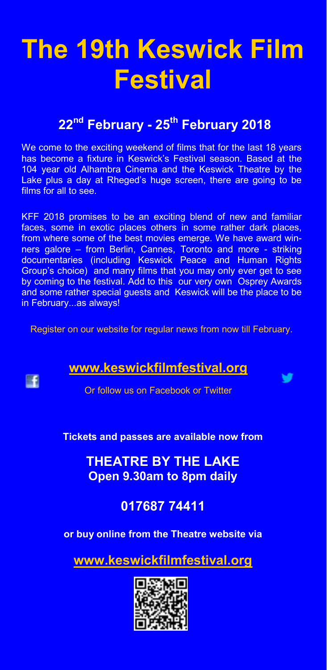## **The 19th Keswick Film Festival**

### **<sup>22</sup>nd February - 25th February 2018**

We come to the exciting weekend of films that for the last 18 years has become a fixture in Keswick's Festival season. Based at the 104 year old Alhambra Cinema and the Keswick Theatre by the Lake plus a day at Rheged's huge screen, there are going to be films for all to see.

KFF 2018 promises to be an exciting blend of new and familiar faces, some in exotic places others in some rather dark places, from where some of the best movies emerge. We have award winners galore – from Berlin, Cannes, Toronto and more - striking documentaries (including Keswick Peace and Human Rights Group's choice) and many films that you may only ever get to see by coming to the festival. Add to this our very own Osprey Awards and some rather special guests and Keswick will be the place to be in February...as always!

Register on our website for regular news from now till February.

### **www.keswickfilmfestival.org**

**EF** 

Or follow us on Facebook or Twitter

v

**Tickets and passes are available now from** 

**THEATRE BY THE LAKE Open 9.30am to 8pm daily** 

### **017687 74411**

**or buy online from the Theatre website via**

**www.keswickfilmfestival.org**

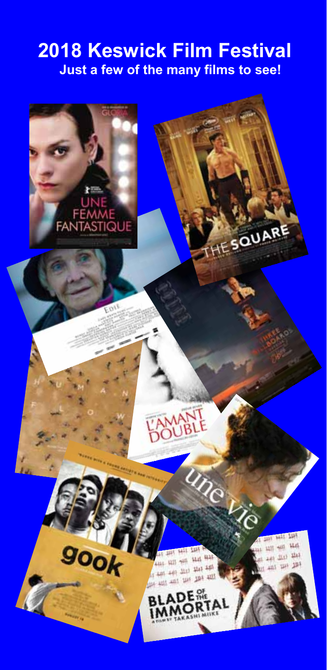### **2018 Keswick Film Festival Just a few of the many films to see!**

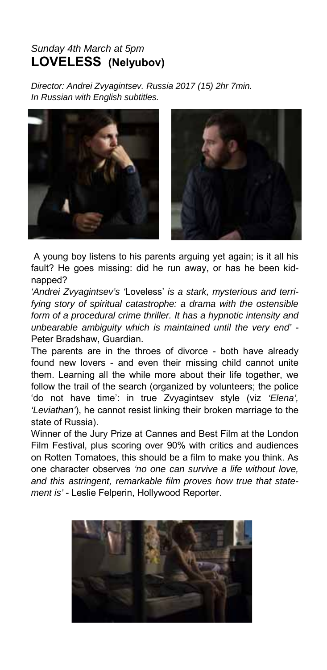#### *Sunday 4th March at 5pm*  **LOVELESS (Nelyubov)**

*Director: Andrei Zvyagintsev. Russia 2017 (15) 2hr 7min. In Russian with English subtitles.* 



 A young boy listens to his parents arguing yet again; is it all his fault? He goes missing: did he run away, or has he been kidnapped?

*'Andrei Zvyagintsev's '*Loveless' *is a stark, mysterious and terrifying story of spiritual catastrophe: a drama with the ostensible form of a procedural crime thriller. It has a hypnotic intensity and unbearable ambiguity which is maintained until the very end'* - Peter Bradshaw, Guardian.

The parents are in the throes of divorce - both have already found new lovers - and even their missing child cannot unite them. Learning all the while more about their life together, we follow the trail of the search (organized by volunteers; the police 'do not have time': in true Zvyagintsev style (viz *'Elena', 'Leviathan'*), he cannot resist linking their broken marriage to the state of Russia).

Winner of the Jury Prize at Cannes and Best Film at the London Film Festival, plus scoring over 90% with critics and audiences on Rotten Tomatoes, this should be a film to make you think. As one character observes *'no one can survive a life without love, and this astringent, remarkable film proves how true that statement is'* - Leslie Felperin, Hollywood Reporter.

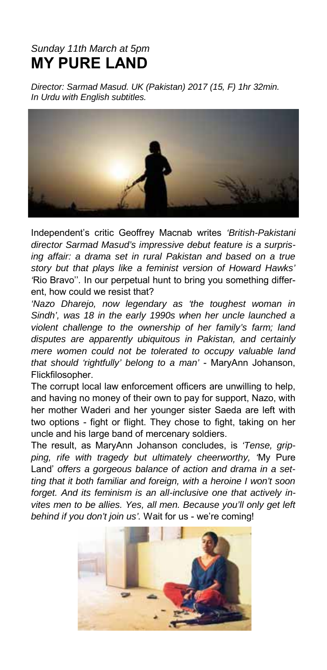### *Sunday 11th March at 5pm*  **MY PURE LAND**

*Director: Sarmad Masud. UK (Pakistan) 2017 (15, F) 1hr 32min. In Urdu with English subtitles.* 



Independent's critic Geoffrey Macnab writes *'British-Pakistani director Sarmad Masud's impressive debut feature is a surprising affair: a drama set in rural Pakistan and based on a true story but that plays like a feminist version of Howard Hawks' '*Rio Bravo''*.* In our perpetual hunt to bring you something different, how could we resist that?

*'Nazo Dharejo, now legendary as 'the toughest woman in Sindh', was 18 in the early 1990s when her uncle launched a violent challenge to the ownership of her family's farm; land disputes are apparently ubiquitous in Pakistan, and certainly mere women could not be tolerated to occupy valuable land that should 'rightfully' belong to a man'* - MaryAnn Johanson, Flickfilosopher.

The corrupt local law enforcement officers are unwilling to help, and having no money of their own to pay for support, Nazo, with her mother Waderi and her younger sister Saeda are left with two options - fight or flight. They chose to fight, taking on her uncle and his large band of mercenary soldiers.

The result, as MaryAnn Johanson concludes, is *'Tense, gripping, rife with tragedy but ultimately cheerworthy, '*My Pure Land' *offers a gorgeous balance of action and drama in a setting that it both familiar and foreign, with a heroine I won't soon forget. And its feminism is an all-inclusive one that actively invites men to be allies. Yes, all men. Because you'll only get left behind if you don't join us'.* Wait for us - we're coming!

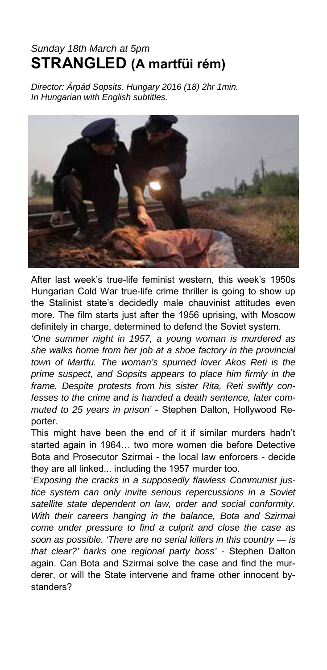### *Sunday 18th March at 5pm*  **STRANGLED (A martfüi rém)**

*Director: Árpád Sopsits. Hungary 2016 (18) 2hr 1min. In Hungarian with English subtitles.* 



After last week's true-life feminist western, this week's 1950s Hungarian Cold War true-life crime thriller is going to show up the Stalinist state's decidedly male chauvinist attitudes even more. The film starts just after the 1956 uprising, with Moscow definitely in charge, determined to defend the Soviet system.

*'One summer night in 1957, a young woman is murdered as she walks home from her job at a shoe factory in the provincial town of Martfu. The woman's spurned lover Akos Reti is the prime suspect, and Sopsits appears to place him firmly in the frame. Despite protests from his sister Rita, Reti swiftly confesses to the crime and is handed a death sentence, later commuted to 25 years in prison'* - Stephen Dalton, Hollywood Reporter.

This might have been the end of it if similar murders hadn't started again in 1964… two more women die before Detective Bota and Prosecutor Szirmai *-* the local law enforcers - decide they are all linked... including the 1957 murder too.

'*Exposing the cracks in a supposedly flawless Communist justice system can only invite serious repercussions in a Soviet satellite state dependent on law, order and social conformity. With their careers hanging in the balance, Bota and Szirmai come under pressure to find a culprit and close the case as soon as possible. 'There are no serial killers in this country — is that clear?' barks one regional party boss' -* Stephen Dalton again. Can Bota and Szirmai solve the case and find the murderer, or will the State intervene and frame other innocent bystanders?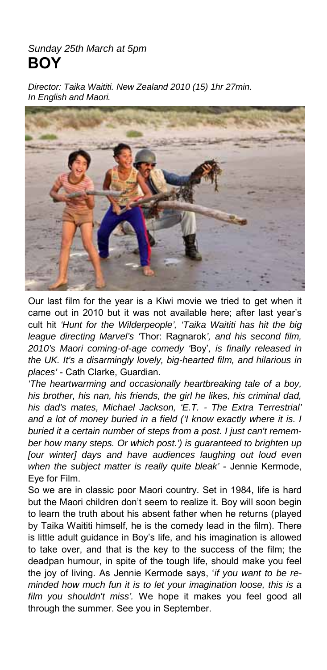#### *Sunday 25th March at 5pm*  **BOY**

*Director: Taika Waititi. New Zealand 2010 (15) 1hr 27min. In English and Maori.* 



Our last film for the year is a Kiwi movie we tried to get when it came out in 2010 but it was not available here; after last year's cult hit *'Hunt for the Wilderpeople', 'Taika Waititi has hit the big league directing Marvel's '*Thor: Ragnarok*', and his second film, 2010's Maori coming-of-age comedy '*Boy'*, is finally released in the UK. It's a disarmingly lovely, big-hearted film, and hilarious in places'* - Cath Clarke, Guardian.

*'The heartwarming and occasionally heartbreaking tale of a boy, his brother, his nan, his friends, the girl he likes, his criminal dad, his dad's mates, Michael Jackson, 'E.T. - The Extra Terrestrial' and a lot of money buried in a field ('I know exactly where it is. I buried it a certain number of steps from a post. I just can't remember how many steps. Or which post.') is guaranteed to brighten up [our winter] days and have audiences laughing out loud even when the subject matter is really quite bleak'* - Jennie Kermode, Eye for Film.

So we are in classic poor Maori country. Set in 1984, life is hard but the Maori children don't seem to realize it. Boy will soon begin to learn the truth about his absent father when he returns (played by Taika Waititi himself, he is the comedy lead in the film). There is little adult guidance in Boy's life, and his imagination is allowed to take over, and that is the key to the success of the film; the deadpan humour, in spite of the tough life, should make you feel the joy of living. As Jennie Kermode says, '*if you want to be reminded how much fun it is to let your imagination loose, this is a film you shouldn't miss'.* We hope it makes you feel good all through the summer. See you in September.